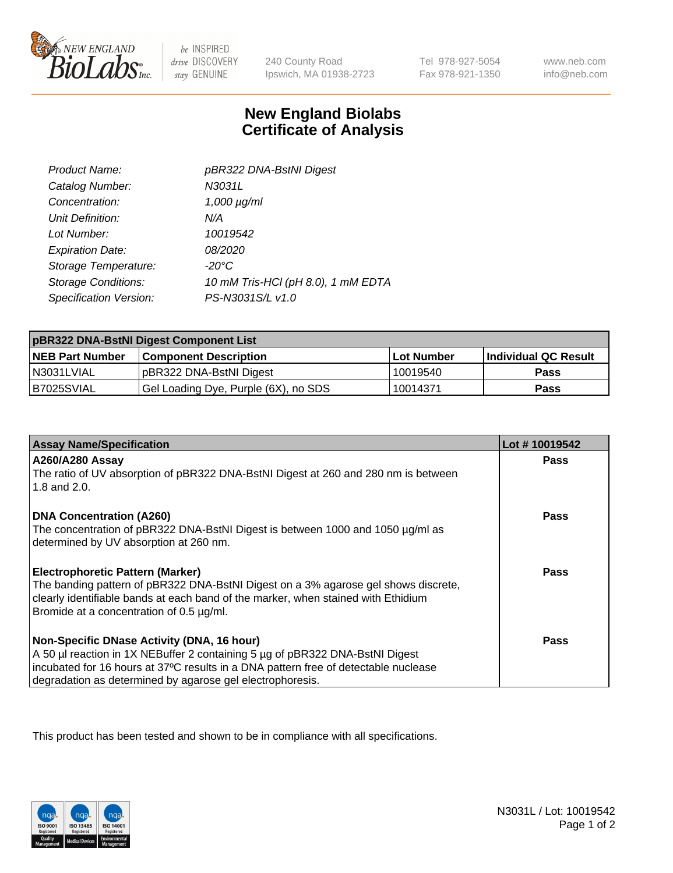

 $be$  INSPIRED drive DISCOVERY stay GENUINE

240 County Road Ipswich, MA 01938-2723

Tel 978-927-5054 Fax 978-921-1350

www.neb.com info@neb.com

## **New England Biolabs Certificate of Analysis**

| Product Name:              | pBR322 DNA-BstNI Digest            |
|----------------------------|------------------------------------|
| Catalog Number:            | N3031L                             |
| Concentration:             | $1,000 \mu g/ml$                   |
| Unit Definition:           | N/A                                |
| Lot Number:                | 10019542                           |
| <b>Expiration Date:</b>    | <i>08/2020</i>                     |
| Storage Temperature:       | $-20^{\circ}$ C                    |
| <b>Storage Conditions:</b> | 10 mM Tris-HCl (pH 8.0), 1 mM EDTA |
| Specification Version:     | PS-N3031S/L v1.0                   |

| pBR322 DNA-BstNI Digest Component List |                                      |            |                      |  |
|----------------------------------------|--------------------------------------|------------|----------------------|--|
| <b>NEB Part Number</b>                 | <b>Component Description</b>         | Lot Number | Individual QC Result |  |
| N3031LVIAL                             | pBR322 DNA-BstNI Digest              | 10019540   | <b>Pass</b>          |  |
| B7025SVIAL                             | Gel Loading Dye, Purple (6X), no SDS | 10014371   | <b>Pass</b>          |  |

| <b>Assay Name/Specification</b>                                                                              | Lot #10019542 |
|--------------------------------------------------------------------------------------------------------------|---------------|
| <b>A260/A280 Assay</b><br>The ratio of UV absorption of pBR322 DNA-BstNI Digest at 260 and 280 nm is between | <b>Pass</b>   |
| 1.8 and 2.0.                                                                                                 |               |
| <b>DNA Concentration (A260)</b>                                                                              | Pass          |
| The concentration of pBR322 DNA-BstNI Digest is between 1000 and 1050 µg/ml as                               |               |
| determined by UV absorption at 260 nm.                                                                       |               |
| <b>Electrophoretic Pattern (Marker)</b>                                                                      | Pass          |
| The banding pattern of pBR322 DNA-BstNI Digest on a 3% agarose gel shows discrete,                           |               |
| clearly identifiable bands at each band of the marker, when stained with Ethidium                            |               |
| Bromide at a concentration of 0.5 µg/ml.                                                                     |               |
| Non-Specific DNase Activity (DNA, 16 hour)                                                                   | Pass          |
| A 50 µl reaction in 1X NEBuffer 2 containing 5 µg of pBR322 DNA-BstNI Digest                                 |               |
| incubated for 16 hours at 37°C results in a DNA pattern free of detectable nuclease                          |               |
| degradation as determined by agarose gel electrophoresis.                                                    |               |

This product has been tested and shown to be in compliance with all specifications.